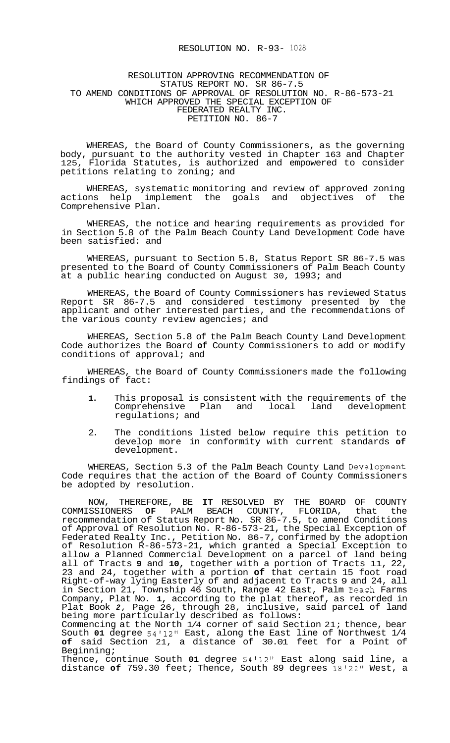# RESOLUTION NO. R-93- 1028

### RESOLUTION APPROVING RECOMMENDATION OF STATUS REPORT NO. SR 86-7.5 TO AMEND CONDITIONS OF APPROVAL OF RESOLUTION NO. R-86-573-21 WHICH APPROVED THE SPECIAL EXCEPTION OF FEDERATED REALTY INC. PETITION NO. 86-7

WHEREAS, the Board of County Commissioners, as the governing body, pursuant to the authority vested in Chapter 163 and Chapter 125, Florida Statutes, is authorized and empowered to consider petitions relating to zoning; and

WHEREAS, systematic monitoring and review of approved zoning actions help implement the goals and objectives of the Comprehensive Plan.

WHEREAS, the notice and hearing requirements as provided for in Section 5.8 of the Palm Beach County Land Development Code have been satisfied: and

WHEREAS, pursuant to Section 5.8, Status Report SR 86-7.5 was presented to the Board of County Commissioners of Palm Beach County at a public hearing conducted on August 30, 1993; and

WHEREAS, the Board of County Commissioners has reviewed Status Report SR 86-7.5 and considered testimony presented by the applicant and other interested parties, and the recommendations of the various county review agencies; and

WHEREAS, Section 5.8 of the Palm Beach County Land Development Code authorizes the Board **of** County Commissioners to add or modify conditions of approval; and

WHEREAS, the Board of County Commissioners made the following findings of fact:

- **1.** This proposal is consistent with the requirements of the Comprehensive Plan and regulations; and
- 2. The conditions listed below require this petition to develop more in conformity with current standards **of**  development.

WHEREAS, Section 5.3 of the Palm Beach County Land Development Code requires that the action of the Board of County Commissioners be adopted by resolution.

NOW, THEREFORE, BE **IT** RESOLVED BY THE BOARD OF COUNTY COMMISSIONERS **OF** PALM BEACH COUNTY, FLORIDA, that the recommendation of Status Report No. SR 86-7.5, to amend Conditions of Approval of Resolution No. R-86-573-21, the Special Exception of Federated Realty Inc., Petition No. 86-7, confirmed by the adoption of Resolution R-86-573-21, which granted a Special Exception to allow a Planned Commercial Development on a parcel of land being all of Tracts **9** and **10,** together with a portion of Tracts 11, 22, 23 and 24, together with a portion **of** that certain 15 foot road Right-of-way lying Easterly of and adjacent to Tracts 9 and 24, all in Section 21, Township 46 South, Range 42 East, Palm Beach Farms Company, Plat No. **1,** according to the plat thereof, as recorded in Plat Book *2,* Page 26, through 28, inclusive, said parcel of land being more particularly described as follows:

Commencing at the North 1/4 corner of said Section 21; thence, bear South **01** degree 54'12'' East, along the East line of Northwest 1/4 **of** said Section 21, a distance of 30.01 feet for a Point of Beginning;

Thence, continue South **01** degree 54'12" East along said line, a distance **of** 759.30 feet; Thence, South 89 degrees 18'22" West, a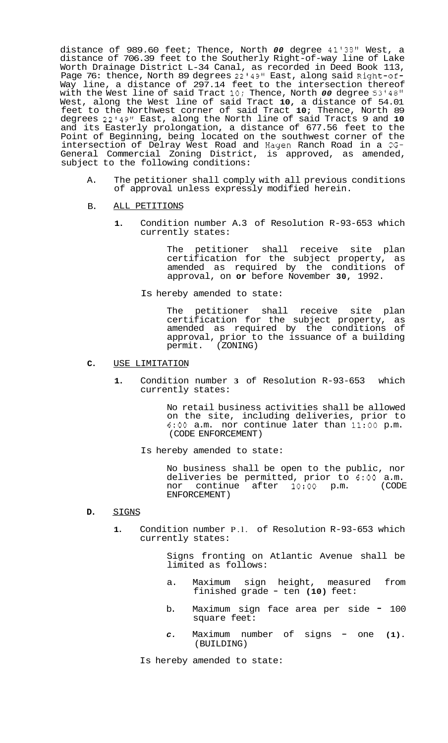distance of 989.60 feet; Thence, North *00* degree 41'38'' West, a distance of 706.39 feet to the Southerly Right-of-way line of Lake Worth Drainage District L-34 Canal, as recorded in Deed Book 113, Page 76: thence, North 89 degrees 22'49" East, along said Right-of-Way line, a distance of 297.14 feet to the intersection thereof with the West line of said Tract **10;** Thence, North *00* degree 53'48" West, along the West line of said Tract **10,** a distance of 54.01 feet to the Northwest corner of said Tract **10;** Thence, North 89 degrees 22'49" East, along the North line of said Tracts 9 and **10**  and its Easterly prolongation, a distance of 677.56 feet to the Point of Beginning, being located on the southwest corner of the intersection of Delray West Road and Hagen Ranch Road in a CG-General Commercial Zoning District, is approved, as amended, subject to the following conditions:

A. The petitioner shall comply with all previous conditions of approval unless expressly modified herein.

# B. ALL PETITIONS

**1.** Condition number A.3 of Resolution R-93-653 which currently states:

> The petitioner shall receive site plan certification for the subject property, as amended as required by the conditions of approval, on **or** before November **30,** 1992.

Is hereby amended to state:

The petitioner shall receive site plan certification for the subject property, as amended as required by the conditions of approval, prior to the issuance of a building permit. (ZONING)

#### **C.** USE LIMITATION

**1.** Condition number **3** of Resolution R-93-653 which currently states:

> No retail business activities shall be allowed on the site, including deliveries, prior to 6:OO a.m. nor continue later than 11:OO p.m. (CODE ENFORCEMENT)

Is hereby amended to state:

No business shall be open to the public, nor deliveries be permitted, prior to 6:00 a.m.<br>nor continue after 10:00 p.m. (CODE nor continue after 10:00 p.m. ENFORCEMENT)

#### **D.** SIGNS

**1.** Condition number P.l. of Resolution R-93-653 which currently states:

> Signs fronting on Atlantic Avenue shall be limited as follows:

- a. Maximum sign height, measured from finished grade - ten **(10)** feet:
- b. Maximum sign face area per side = 100 square feet:
- *c.* Maximum number of signs one **(1).**  (BUILDING)

Is hereby amended to state: